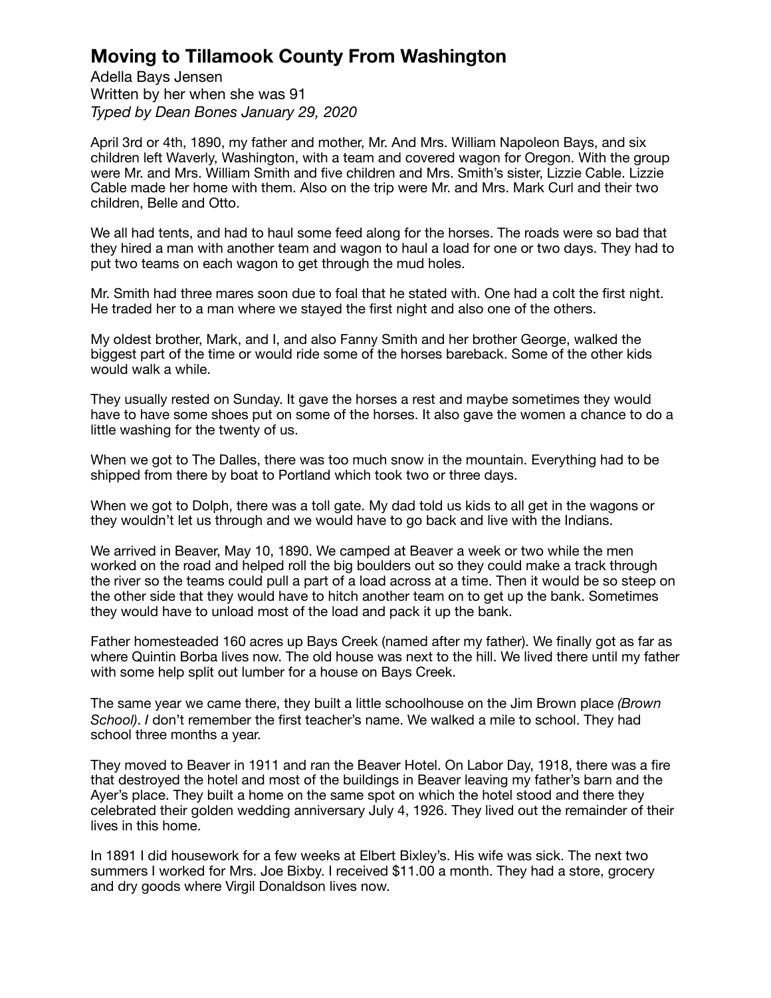## **Moving to Tillamook County From Washington**

Adella Bays Jensen Written by her when she was 91 *Typed by Dean Bones January 29, 2020*

April 3rd or 4th, 1890, my father and mother, Mr. And Mrs. William Napoleon Bays, and six children left Waverly, Washington, with a team and covered wagon for Oregon. With the group were Mr. and Mrs. William Smith and five children and Mrs. Smith's sister, Lizzie Cable. Lizzie Cable made her home with them. Also on the trip were Mr. and Mrs. Mark Curl and their two children, Belle and Otto.

We all had tents, and had to haul some feed along for the horses. The roads were so bad that they hired a man with another team and wagon to haul a load for one or two days. They had to put two teams on each wagon to get through the mud holes.

Mr. Smith had three mares soon due to foal that he stated with. One had a colt the first night. He traded her to a man where we stayed the first night and also one of the others.

My oldest brother, Mark, and I, and also Fanny Smith and her brother George, walked the biggest part of the time or would ride some of the horses bareback. Some of the other kids would walk a while.

They usually rested on Sunday. It gave the horses a rest and maybe sometimes they would have to have some shoes put on some of the horses. It also gave the women a chance to do a little washing for the twenty of us.

When we got to The Dalles, there was too much snow in the mountain. Everything had to be shipped from there by boat to Portland which took two or three days.

When we got to Dolph, there was a toll gate. My dad told us kids to all get in the wagons or they wouldn't let us through and we would have to go back and live with the Indians.

We arrived in Beaver, May 10, 1890. We camped at Beaver a week or two while the men worked on the road and helped roll the big boulders out so they could make a track through the river so the teams could pull a part of a load across at a time. Then it would be so steep on the other side that they would have to hitch another team on to get up the bank. Sometimes they would have to unload most of the load and pack it up the bank.

Father homesteaded 160 acres up Bays Creek (named after my father). We finally got as far as where Quintin Borba lives now. The old house was next to the hill. We lived there until my father with some help split out lumber for a house on Bays Creek.

The same year we came there, they built a little schoolhouse on the Jim Brown place *(Brown School)*. *I* don't remember the first teacher's name. We walked a mile to school. They had school three months a year.

They moved to Beaver in 1911 and ran the Beaver Hotel. On Labor Day, 1918, there was a fire that destroyed the hotel and most of the buildings in Beaver leaving my father's barn and the Ayer's place. They built a home on the same spot on which the hotel stood and there they celebrated their golden wedding anniversary July 4, 1926. They lived out the remainder of their lives in this home.

In 1891 I did housework for a few weeks at Elbert Bixley's. His wife was sick. The next two summers I worked for Mrs. Joe Bixby. I received \$11.00 a month. They had a store, grocery and dry goods where Virgil Donaldson lives now.